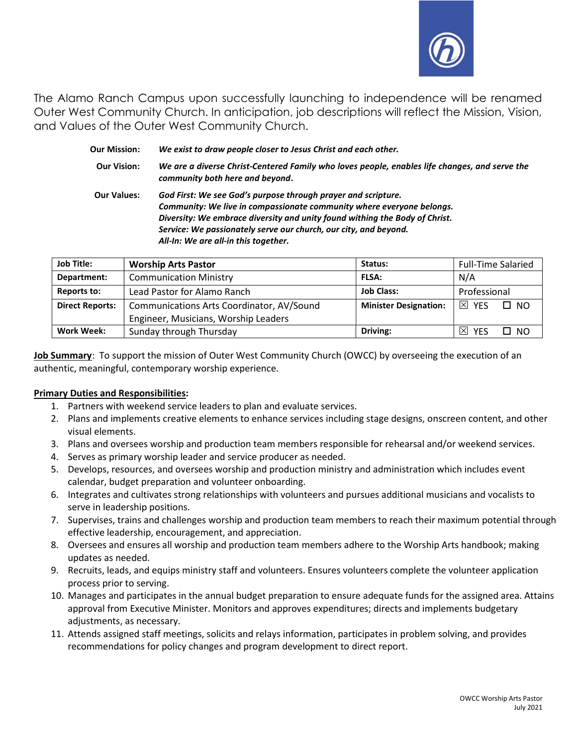

The Alamo Ranch Campus upon successfully launching to independence will be renamed Outer West Community Church. In anticipation, job descriptions will reflect the Mission, Vision, and Values of the Outer West Community Church.

| <b>Our Mission:</b> | We exist to draw people closer to Jesus Christ and each other.                                                                                                                                                                                                                                                                    |
|---------------------|-----------------------------------------------------------------------------------------------------------------------------------------------------------------------------------------------------------------------------------------------------------------------------------------------------------------------------------|
| <b>Our Vision:</b>  | We are a diverse Christ-Centered Family who loves people, enables life changes, and serve the<br>community both here and beyond.                                                                                                                                                                                                  |
| <b>Our Values:</b>  | God First: We see God's purpose through prayer and scripture.<br>Community: We live in compassionate community where everyone belongs.<br>Diversity: We embrace diversity and unity found withing the Body of Christ.<br>Service: We passionately serve our church, our city, and beyond.<br>All-In: We are all-in this together. |

| <b>Job Title:</b>      | <b>Worship Arts Pastor</b>                | Status:                      | <b>Full-Time Salaried</b>         |
|------------------------|-------------------------------------------|------------------------------|-----------------------------------|
| Department:            | <b>Communication Ministry</b>             | <b>FLSA:</b>                 | N/A                               |
| Reports to:            | Lead Pastor for Alamo Ranch               | <b>Job Class:</b>            | Professional                      |
| <b>Direct Reports:</b> | Communications Arts Coordinator, AV/Sound | <b>Minister Designation:</b> | $\boxtimes$ YES<br>$\Box$ NO      |
|                        | Engineer, Musicians, Worship Leaders      |                              |                                   |
| Work Week:             | Sunday through Thursday                   | Driving:                     | $\mathbb{X}$<br>□ №<br><b>YFS</b> |

Job Summary: To support the mission of Outer West Community Church (OWCC) by overseeing the execution of an authentic, meaningful, contemporary worship experience.

# Primary Duties and Responsibilities:

- 1. Partners with weekend service leaders to plan and evaluate services.
- 2. Plans and implements creative elements to enhance services including stage designs, onscreen content, and other visual elements.
- 3. Plans and oversees worship and production team members responsible for rehearsal and/or weekend services.
- 4. Serves as primary worship leader and service producer as needed.
- 5. Develops, resources, and oversees worship and production ministry and administration which includes event calendar, budget preparation and volunteer onboarding.
- 6. Integrates and cultivates strong relationships with volunteers and pursues additional musicians and vocalists to serve in leadership positions.
- 7. Supervises, trains and challenges worship and production team members to reach their maximum potential through effective leadership, encouragement, and appreciation.
- 8. Oversees and ensures all worship and production team members adhere to the Worship Arts handbook; making updates as needed.
- 9. Recruits, leads, and equips ministry staff and volunteers. Ensures volunteers complete the volunteer application process prior to serving.
- 10. Manages and participates in the annual budget preparation to ensure adequate funds for the assigned area. Attains approval from Executive Minister. Monitors and approves expenditures; directs and implements budgetary adjustments, as necessary.
- 11. Attends assigned staff meetings, solicits and relays information, participates in problem solving, and provides recommendations for policy changes and program development to direct report.